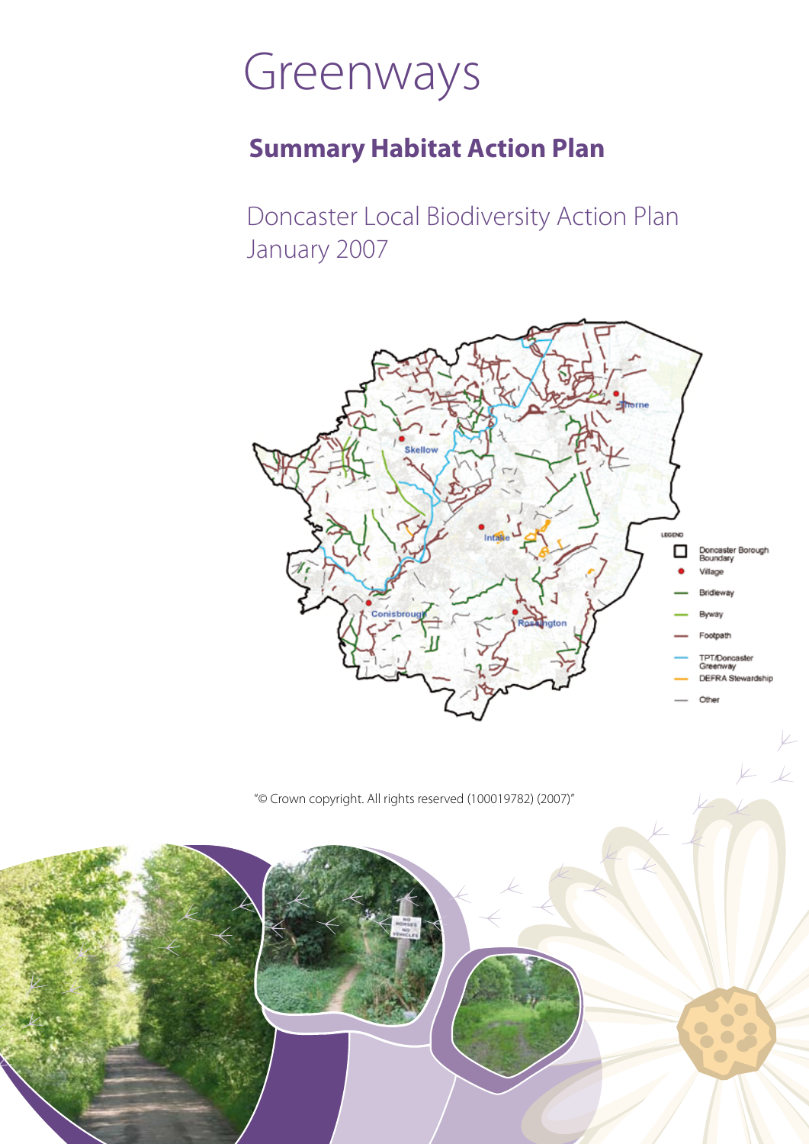# Greenways

### **Summary Habitat Action Plan**

Doncaster Local Biodiversity Action Plan January 2007



"© Crown copyright. All rights reserved (100019782) (2007)"

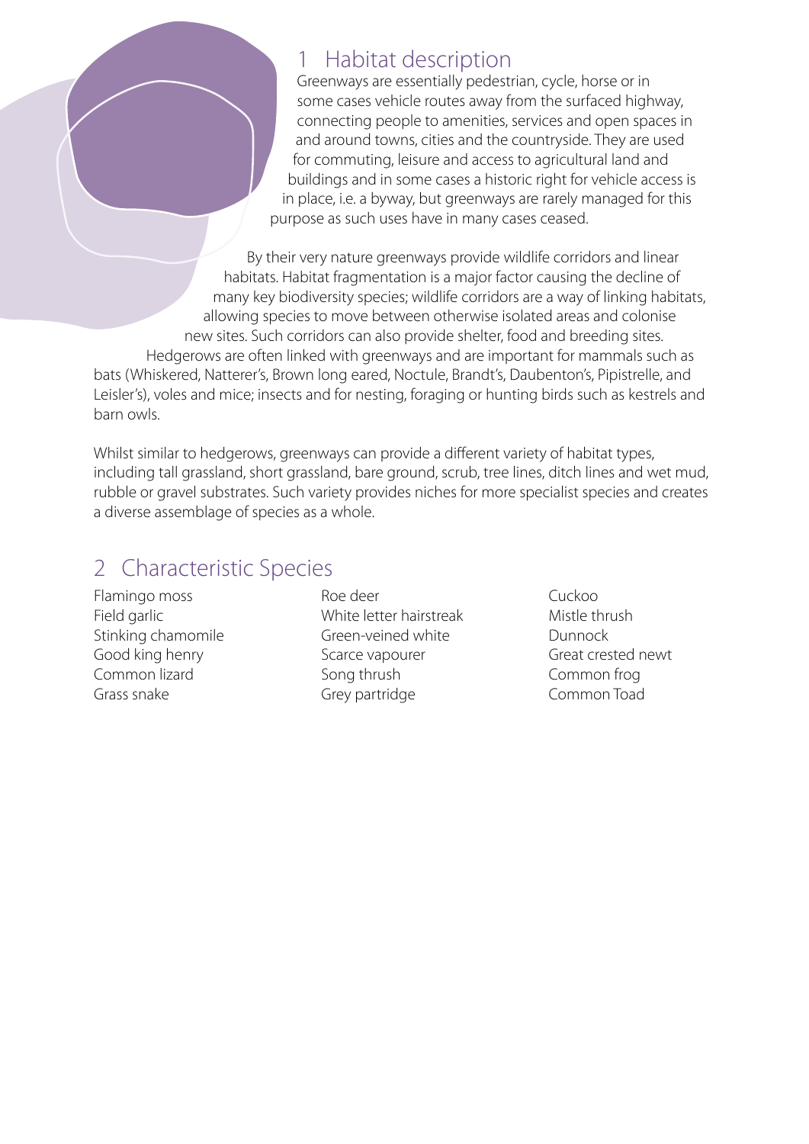### 1 Habitat description

Greenways are essentially pedestrian, cycle, horse or in some cases vehicle routes away from the surfaced highway, connecting people to amenities, services and open spaces in and around towns, cities and the countryside. They are used for commuting, leisure and access to agricultural land and buildings and in some cases a historic right for vehicle access is in place, i.e. a byway, but greenways are rarely managed for this purpose as such uses have in many cases ceased.

By their very nature greenways provide wildlife corridors and linear habitats. Habitat fragmentation is a major factor causing the decline of many key biodiversity species; wildlife corridors are a way of linking habitats, allowing species to move between otherwise isolated areas and colonise new sites. Such corridors can also provide shelter, food and breeding sites. Hedgerows are often linked with greenways and are important for mammals such as bats (Whiskered, Natterer's, Brown long eared, Noctule, Brandt's, Daubenton's, Pipistrelle, and Leisler's), voles and mice; insects and for nesting, foraging or hunting birds such as kestrels and barn owls.

Whilst similar to hedgerows, greenways can provide a different variety of habitat types, including tall grassland, short grassland, bare ground, scrub, tree lines, ditch lines and wet mud, rubble or gravel substrates. Such variety provides niches for more specialist species and creates a diverse assemblage of species as a whole.

### 2 Characteristic Species

Flamingo moss Field garlic Stinking chamomile Good king henry Common lizard Grass snake

Roe deer White letter hairstreak Green-veined white Scarce vapourer Song thrush Grey partridge

Cuckoo Mistle thrush Dunnock Great crested newt Common frog Common Toad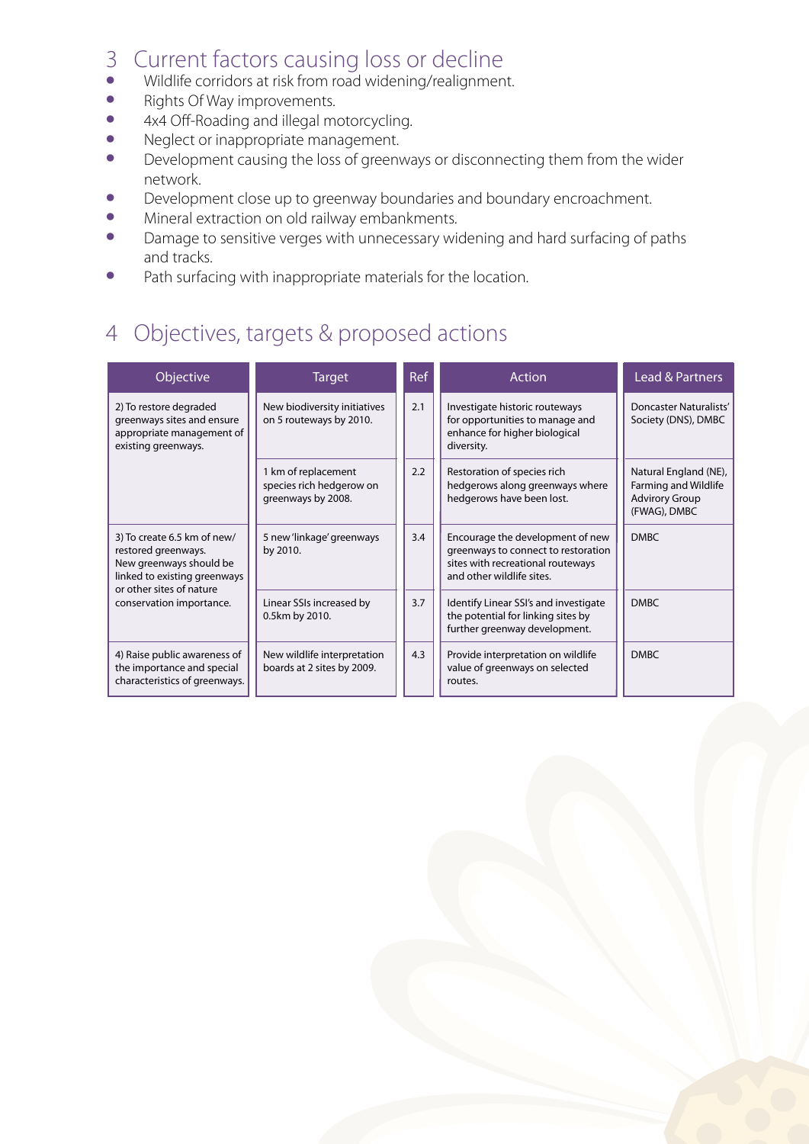## 3 Current factors causing loss or decline<br>
• Wildlife corridors at risk from road widening/realignment

- Wildlife corridors at risk from road widening/realignment.<br>• Rights Of Way improvements
- Rights Of Way improvements.
- 4x4 Off-Roading and illegal motorcycling.<br>• Neglect or inappropriate management
- Neglect or inappropriate management.<br>• Development causing the loss of greeny
- Development causing the loss of greenways or disconnecting them from the wider network.
- Development close up to greenway boundaries and boundary encroachment.
- Mineral extraction on old railway embankments.
- Damage to sensitive verges with unnecessary widening and hard surfacing of paths and tracks.
- Path surfacing with inappropriate materials for the location.

### 4 Objectives, targets & proposed actions

| Objective                                                                                                                                                             | <b>Target</b>                                                         | Ref | <b>Action</b>                                                                                                                             | Lead & Partners                                                                        |
|-----------------------------------------------------------------------------------------------------------------------------------------------------------------------|-----------------------------------------------------------------------|-----|-------------------------------------------------------------------------------------------------------------------------------------------|----------------------------------------------------------------------------------------|
| 2) To restore degraded<br>greenways sites and ensure<br>appropriate management of<br>existing greenways.                                                              | New biodiversity initiatives<br>on 5 routeways by 2010.               | 2.1 | Investigate historic routeways<br>for opportunities to manage and<br>enhance for higher biological<br>diversity.                          | <b>Doncaster Naturalists'</b><br>Society (DNS), DMBC                                   |
|                                                                                                                                                                       | 1 km of replacement<br>species rich hedgerow on<br>greenways by 2008. | 2.2 | Restoration of species rich<br>hedgerows along greenways where<br>hedgerows have been lost.                                               | Natural England (NE),<br>Farming and Wildlife<br><b>Advirory Group</b><br>(FWAG), DMBC |
| 3) To create 6.5 km of new/<br>restored greenways.<br>New greenways should be<br>linked to existing greenways<br>or other sites of nature<br>conservation importance. | 5 new 'linkage' greenways<br>by 2010.                                 | 3.4 | Encourage the development of new<br>greenways to connect to restoration<br>sites with recreational routeways<br>and other wildlife sites. | <b>DMBC</b>                                                                            |
|                                                                                                                                                                       | Linear SSIs increased by<br>0.5km by 2010.                            | 3.7 | Identify Linear SSI's and investigate<br>the potential for linking sites by<br>further greenway development.                              | <b>DMBC</b>                                                                            |
| 4) Raise public awareness of<br>the importance and special<br>characteristics of greenways.                                                                           | New wildlife interpretation<br>boards at 2 sites by 2009.             | 4.3 | Provide interpretation on wildlife<br>value of greenways on selected<br>routes.                                                           | <b>DMBC</b>                                                                            |